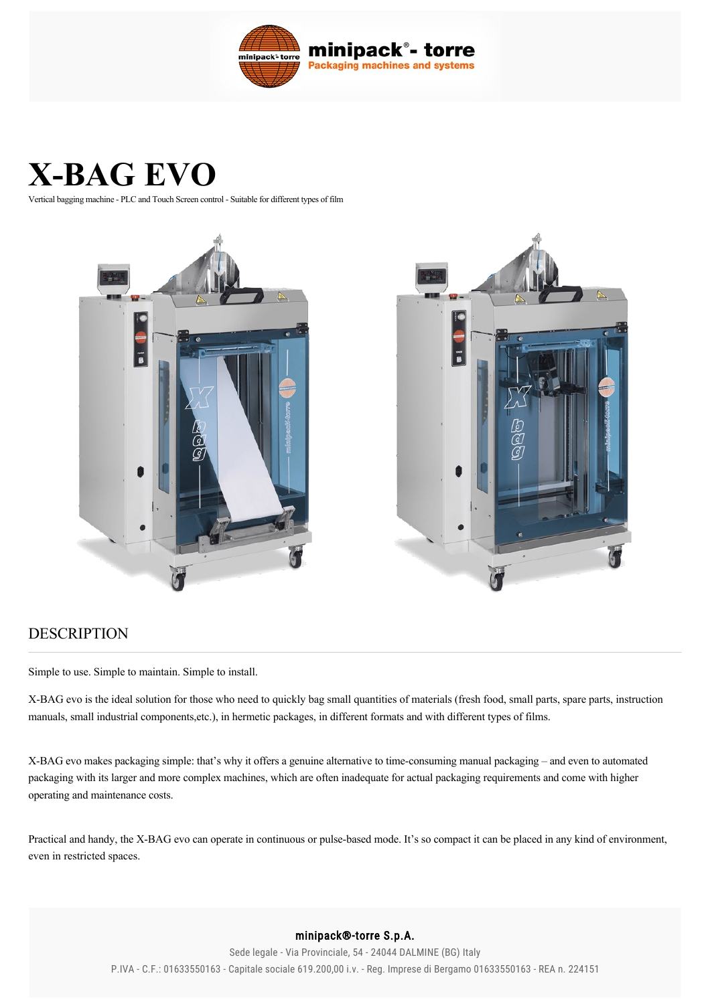

# **X-BAG EVO**

Vertical bagging machine - PLC and Touch Screen control - Suitable for different types of film





## DESCRIPTION

Simple to use. Simple to maintain. Simple to install.

X-BAG evo is the ideal solution for those who need to quickly bag small quantities of materials (fresh food, small parts, spare parts, instruction manuals, small industrial components,etc.), in hermetic packages, in different formats and with different types of films.

X-BAG evo makes packaging simple: that's why it offers a genuine alternative to time-consuming manual packaging - and even to automated packaging with its larger and more complex machines, which are often inadequate for actual packaging requirements and come with higher operating and maintenance costs.

Practical and handy, the X-BAG evo can operate in continuous or pulse-based mode. It's so compact it can be placed in any kind of environment, even in restricted spaces.

### minipack®-torre S.p.A.

Sede legale - Via Provinciale, 54 - 24044 DALMINE (BG) Italy P.IVA - C.F.: 01633550163 - Capitale sociale 619.200,00 i.v. - Reg. Imprese di Bergamo 01633550163 - REA n. 224151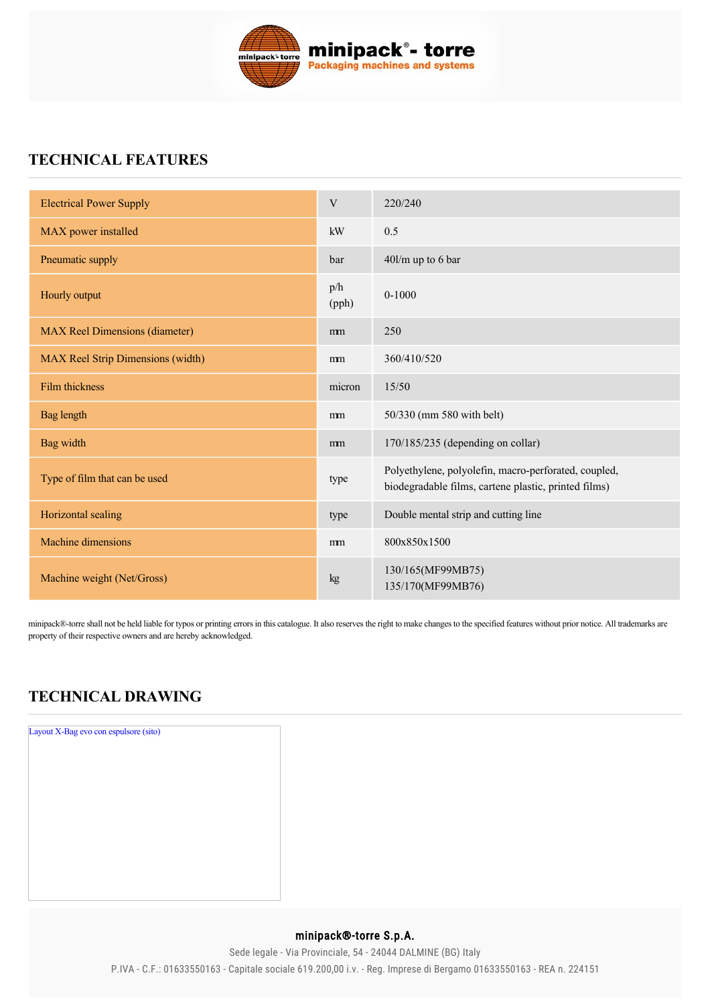

# **TECHNICAL FEATURES**

| <b>Electrical Power Supply</b>        | V            | 220/240                                                                                                      |
|---------------------------------------|--------------|--------------------------------------------------------------------------------------------------------------|
| MAX power installed                   | kW           | 0.5                                                                                                          |
| Pneumatic supply                      | bar          | 40l/m up to 6 bar                                                                                            |
| Hourly output                         | p/h<br>(pph) | $0 - 1000$                                                                                                   |
| <b>MAX</b> Reel Dimensions (diameter) | mm           | 250                                                                                                          |
| MAX Reel Strip Dimensions (width)     | mm           | 360/410/520                                                                                                  |
| Film thickness                        | micron       | 15/50                                                                                                        |
| <b>Bag</b> length                     | mm           | 50/330 (mm 580 with belt)                                                                                    |
| Bag width                             | mm           | 170/185/235 (depending on collar)                                                                            |
| Type of film that can be used         | type         | Polyethylene, polyolefin, macro-perforated, coupled,<br>biodegradable films, cartene plastic, printed films) |
| Horizontal sealing                    | type         | Double mental strip and cutting line                                                                         |
| Machine dimensions                    | mm           | 800x850x1500                                                                                                 |
| Machine weight (Net/Gross)            | kg           | 130/165(MF99MB75)<br>135/170(MF99MB76)                                                                       |

minipack®-torre shall not be held liable for typos or printing errors in this catalogue. It also reserves the right to make changes to the specified features without prior notice. All trademarks are property of their respective owners and are hereby acknowledged.

# **TECHNICAL DRAWING**



## minipack®-torre S.p.A.

Sede legale - Via Provinciale, 54 - 24044 DALMINE (BG) Italy P.IVA - C.F.: 01633550163 - Capitale sociale 619.200,00 i.v. - Reg. Imprese di Bergamo 01633550163 - REA n. 224151